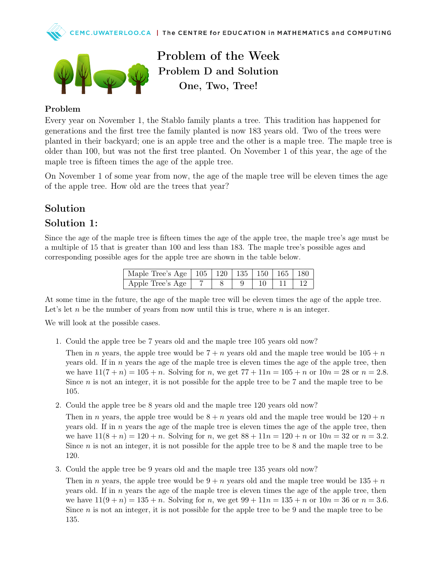



Problem of the Week Problem D and Solution One, Two, Tree!

## Problem

Every year on November 1, the Stablo family plants a tree. This tradition has happened for generations and the first tree the family planted is now 183 years old. Two of the trees were planted in their backyard; one is an apple tree and the other is a maple tree. The maple tree is older than 100, but was not the first tree planted. On November 1 of this year, the age of the maple tree is fifteen times the age of the apple tree.

On November 1 of some year from now, the age of the maple tree will be eleven times the age of the apple tree. How old are the trees that year?

## Solution

## Solution 1:

Since the age of the maple tree is fifteen times the age of the apple tree, the maple tree's age must be a multiple of 15 that is greater than 100 and less than 183. The maple tree's possible ages and corresponding possible ages for the apple tree are shown in the table below.

| Maple Tree's Age   105   120   135   150   165   180 |  |  |  |
|------------------------------------------------------|--|--|--|
| Apple Tree's Age $\vert$ 7                           |  |  |  |

At some time in the future, the age of the maple tree will be eleven times the age of the apple tree. Let's let n be the number of years from now until this is true, where  $n$  is an integer.

We will look at the possible cases.

1. Could the apple tree be 7 years old and the maple tree 105 years old now?

Then in n years, the apple tree would be  $7 + n$  years old and the maple tree would be  $105 + n$ years old. If in  $n$  years the age of the maple tree is eleven times the age of the apple tree, then we have  $11(7 + n) = 105 + n$ . Solving for n, we get  $77 + 11n = 105 + n$  or  $10n = 28$  or  $n = 2.8$ . Since  $n$  is not an integer, it is not possible for the apple tree to be  $7$  and the maple tree to be 105.

2. Could the apple tree be 8 years old and the maple tree 120 years old now?

Then in n years, the apple tree would be  $8 + n$  years old and the maple tree would be  $120 + n$ years old. If in  $n$  years the age of the maple tree is eleven times the age of the apple tree, then we have  $11(8 + n) = 120 + n$ . Solving for n, we get  $88 + 11n = 120 + n$  or  $10n = 32$  or  $n = 3.2$ . Since  $n$  is not an integer, it is not possible for the apple tree to be  $8$  and the maple tree to be 120.

3. Could the apple tree be 9 years old and the maple tree 135 years old now?

Then in n years, the apple tree would be  $9 + n$  years old and the maple tree would be  $135 + n$ years old. If in  $n$  years the age of the maple tree is eleven times the age of the apple tree, then we have  $11(9 + n) = 135 + n$ . Solving for n, we get  $99 + 11n = 135 + n$  or  $10n = 36$  or  $n = 3.6$ . Since  $n$  is not an integer, it is not possible for the apple tree to be 9 and the maple tree to be 135.